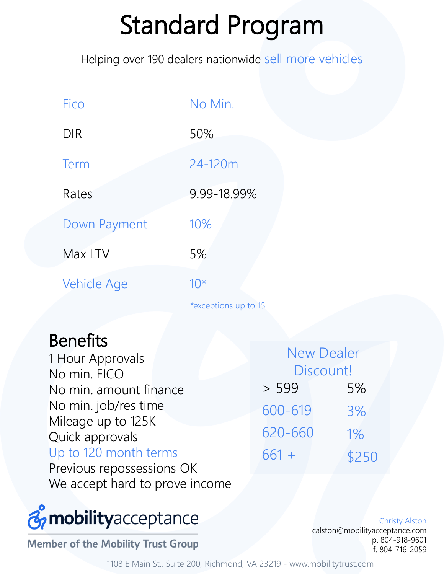## Standard Program

Helping over 190 dealers nationwide sell more vehicles

| Fico               | No Min.              |  |
|--------------------|----------------------|--|
| DIR                | 50%                  |  |
| <b>Term</b>        | 24-120m              |  |
| Rates              | 9.99-18.99%          |  |
| Down Payment       | 10%                  |  |
| Max LTV            | 5%                   |  |
| <b>Vehicle Age</b> | $10*$                |  |
|                    | *exceptions up to 15 |  |

### Benefits

| 1 Hour Approvals          |         | <b>New Dealer</b> |       |  |
|---------------------------|---------|-------------------|-------|--|
| No min. FICO              |         | Discount!         |       |  |
| No min. amount finance    | > 599   | 5%                |       |  |
| No min. job/res time      | 600-619 | 3%                |       |  |
| Mileage up to 125K        |         |                   |       |  |
| Quick approvals           |         | 620-660           | $1\%$ |  |
| Up to 120 month terms     |         | $661 +$           | \$250 |  |
| Previous repossessions OK |         |                   |       |  |

We accept hard to prove income



**Member of the Mobility Trust Group** 

Christy Alston

calston@mobilityacceptance.com p. 804-918-9601 f. 804-716-2059

1108 E Main St., Suite 200, Richmond, VA 23219 - www.mobilitytrust.com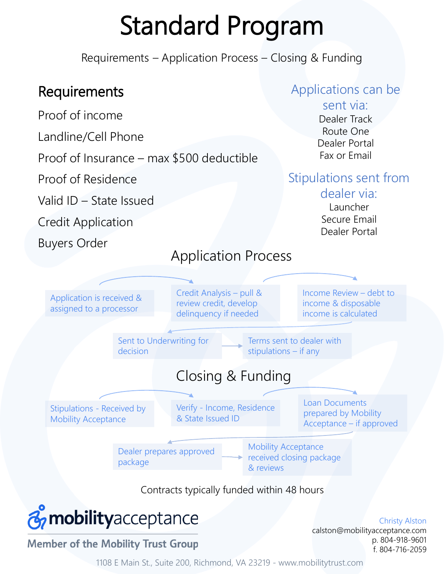## Standard Program

Requirements – Application Process – Closing & Funding





#### **Member of the Mobility Trust Group**

Christy Alston calston@mobilityacceptance.com p. 804-918-9601 f. 804-716-2059

1108 E Main St., Suite 200, Richmond, VA 23219 - www.mobilitytrust.com